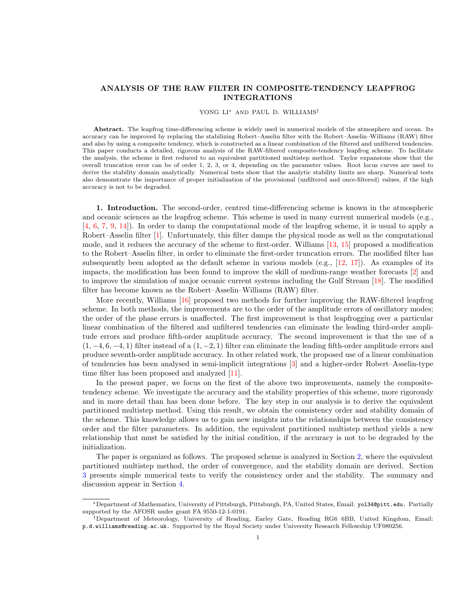## <span id="page-0-0"></span>ANALYSIS OF THE RAW FILTER IN COMPOSITE-TENDENCY LEAPFROG INTEGRATIONS

## YONG LI<sup>∗</sup> AND PAUL D. WILLIAMS†

Abstract. The leapfrog time-differencing scheme is widely used in numerical models of the atmosphere and ocean. Its accuracy can be improved by replacing the stabilizing Robert–Asselin filter with the Robert–Asselin–Williams (RAW) filter and also by using a composite tendency, which is constructed as a linear combination of the filtered and unfiltered tendencies. This paper conducts a detailed, rigorous analysis of the RAW-filtered composite-tendency leapfrog scheme. To facilitate the analysis, the scheme is first reduced to an equivalent partitioned multistep method. Taylor expansions show that the overall truncation error can be of order 1, 2, 3, or 4, depending on the parameter values. Root locus curves are used to derive the stability domain analytically. Numerical tests show that the analytic stability limits are sharp. Numerical tests also demonstrate the importance of proper initialization of the provisional (unfiltered and once-filtered) values, if the high accuracy is not to be degraded.

1. Introduction. The second-order, centred time-differencing scheme is known in the atmospheric and oceanic sciences as the leapfrog scheme. This scheme is used in many current numerical models (e.g., [\[4,](#page-7-0) [6,](#page-7-1) [7,](#page-7-2) [9,](#page-7-3) [14\]](#page-7-4)). In order to damp the computational mode of the leapfrog scheme, it is usual to apply a Robert–Asselin filter [\[1\]](#page-7-5). Unfortunately, this filter damps the physical mode as well as the computational mode, and it reduces the accuracy of the scheme to first-order. Williams [\[13,](#page-7-6) [15\]](#page-7-7) proposed a modification to the Robert–Asselin filter, in order to eliminate the first-order truncation errors. The modified filter has subsequently been adopted as the default scheme in various models (e.g., [\[12,](#page-7-8) [17\]](#page-7-9)). As examples of its impacts, the modification has been found to improve the skill of medium-range weather forecasts [\[2\]](#page-7-10) and to improve the simulation of major oceanic current systems including the Gulf Stream [\[18\]](#page-7-11). The modified filter has become known as the Robert–Asselin–Williams (RAW) filter.

More recently, Williams [\[16\]](#page-7-12) proposed two methods for further improving the RAW-filtered leapfrog scheme. In both methods, the improvements are to the order of the amplitude errors of oscillatory modes; the order of the phase errors is unaffected. The first improvement is that leapfrogging over a particular linear combination of the filtered and unfiltered tendencies can eliminate the leading third-order amplitude errors and produce fifth-order amplitude accuracy. The second improvement is that the use of a  $(1, -4, 6, -4, 1)$  filter instead of a  $(1, -2, 1)$  filter can eliminate the leading fifth-order amplitude errors and produce seventh-order amplitude accuracy. In other related work, the proposed use of a linear combination of tendencies has been analysed in semi-implicit integrations [\[3\]](#page-7-13) and a higher-order Robert–Asselin-type time filter has been proposed and analyzed [\[11\]](#page-7-14).

In the present paper, we focus on the first of the above two improvements, namely the compositetendency scheme. We investigate the accuracy and the stability properties of this scheme, more rigorously and in more detail than has been done before. The key step in our analysis is to derive the equivalent partitioned multistep method. Using this result, we obtain the consistency order and stability domain of the scheme. This knowledge allows us to gain new insights into the relationships between the consistency order and the filter parameters. In addition, the equivalent partitioned multistep method yields a new relationship that must be satisfied by the initial condition, if the accuracy is not to be degraded by the initialization.

The paper is organized as follows. The proposed scheme is analyzed in Section [2,](#page-1-0) where the equivalent partitioned multistep method, the order of convergence, and the stability domain are derived. Section [3](#page-4-0) presents simple numerical tests to verify the consistency order and the stability. The summary and discussion appear in Section [4.](#page-6-0)

<sup>∗</sup>Department of Mathematics, University of Pittsburgh, Pittsburgh, PA, United States, Email: yol34@pitt.edu. Partially supported by the AFOSR under grant FA 9550-12-1-0191.

<sup>†</sup>Department of Meteorology, University of Reading, Earley Gate, Reading RG6 6BB, United Kingdom, Email: p.d.williams@reading.ac.uk. Supported by the Royal Society under University Research Fellowship UF080256.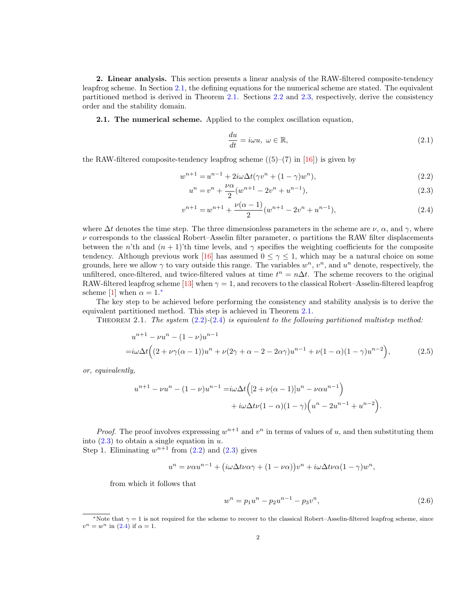<span id="page-1-10"></span><span id="page-1-0"></span>2. Linear analysis. This section presents a linear analysis of the RAW-filtered composite-tendency leapfrog scheme. In Section [2.1,](#page-1-1) the defining equations for the numerical scheme are stated. The equivalent partitioned method is derived in Theorem [2.1.](#page-1-2) Sections [2.2](#page-2-0) and [2.3,](#page-3-0) respectively, derive the consistency order and the stability domain.

<span id="page-1-1"></span>2.1. The numerical scheme. Applied to the complex oscillation equation,

<span id="page-1-9"></span><span id="page-1-6"></span><span id="page-1-5"></span><span id="page-1-4"></span>
$$
\frac{du}{dt} = i\omega u, \ \omega \in \mathbb{R},\tag{2.1}
$$

the RAW-filtered composite-tendency leapfrog scheme  $((5)-(7)$  in [\[16\]](#page-7-12)) is given by

$$
w^{n+1} = u^{n-1} + 2i\omega \Delta t (\gamma v^n + (1 - \gamma)w^n),
$$
\n(2.2)

$$
u^{n} = v^{n} + \frac{\nu \alpha}{2} (w^{n+1} - 2v^{n} + u^{n-1}),
$$
\n(2.3)

$$
v^{n+1} = w^{n+1} + \frac{\nu(\alpha - 1)}{2}(w^{n+1} - 2v^n + u^{n-1}),
$$
\n(2.4)

where  $\Delta t$  denotes the time step. The three dimensionless parameters in the scheme are  $\nu$ ,  $\alpha$ , and  $\gamma$ , where ν corresponds to the classical Robert–Asselin filter parameter, α partitions the RAW filter displacements between the n'th and  $(n + 1)$ 'th time levels, and  $\gamma$  specifies the weighting coefficients for the composite tendency. Although previous work [\[16\]](#page-7-12) has assumed  $0 \leq \gamma \leq 1$ , which may be a natural choice on some grounds, here we allow  $\gamma$  to vary outside this range. The variables  $w^n$ ,  $v^n$ , and  $u^n$  denote, respectively, the unfiltered, once-filtered, and twice-filtered values at time  $t^n = n\Delta t$ . The scheme recovers to the original RAW-filtered leapfrog scheme [\[13\]](#page-7-6) when  $\gamma = 1$ , and recovers to the classical Robert–Asselin-filtered leapfrog scheme [\[1\]](#page-7-5) when  $\alpha = 1.*$ 

The key step to be achieved before performing the consistency and stability analysis is to derive the equivalent partitioned method. This step is achieved in Theorem [2.1.](#page-1-2)

<span id="page-1-2"></span>THEOREM 2.1. The system  $(2.2)-(2.4)$  $(2.2)-(2.4)$  $(2.2)-(2.4)$  is equivalent to the following partitioned multistep method:

$$
u^{n+1} - \nu u^n - (1 - \nu)u^{n-1}
$$
  
= $i\omega \Delta t \Big( (2 + \nu \gamma (\alpha - 1))u^n + \nu (2\gamma + \alpha - 2 - 2\alpha \gamma)u^{n-1} + \nu (1 - \alpha)(1 - \gamma)u^{n-2} \Big),$  (2.5)

or, equivalently,

$$
u^{n+1} - \nu u^n - (1 - \nu)u^{n-1} = i\omega \Delta t \left( [2 + \nu(\alpha - 1)]u^n - \nu \alpha u^{n-1} \right) + i\omega \Delta t \nu (1 - \alpha)(1 - \gamma) \left( u^n - 2u^{n-1} + u^{n-2} \right).
$$

*Proof.* The proof involves expressing  $w^{n+1}$  and  $v^n$  in terms of values of u, and then substituting them into  $(2.3)$  to obtain a single equation in u.

Step 1. Eliminating  $w^{n+1}$  from  $(2.2)$  and  $(2.3)$  gives

$$
u^{n} = \nu \alpha u^{n-1} + (i\omega \Delta t \nu \alpha \gamma + (1 - \nu \alpha))v^{n} + i\omega \Delta t \nu \alpha (1 - \gamma)w^{n},
$$

from which it follows that

<span id="page-1-8"></span><span id="page-1-7"></span>
$$
w^n = p_1 u^n - p_2 u^{n-1} - p_3 v^n,
$$
\n(2.6)

<span id="page-1-3"></span><sup>\*</sup>Note that  $\gamma = 1$  is not required for the scheme to recover to the classical Robert–Asselin-filtered leapfrog scheme, since  $v^n = w^n$  in [\(2.4\)](#page-1-5) if  $\alpha = 1$ .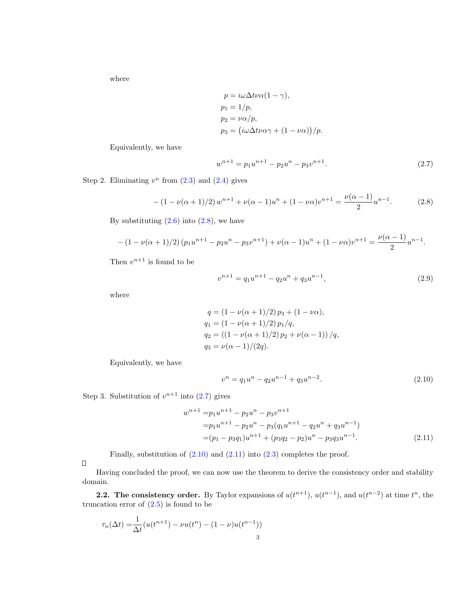where

$$
p = i\omega \Delta t \nu \alpha (1 - \gamma),
$$
  
\n
$$
p_1 = 1/p,
$$
  
\n
$$
p_2 = \nu \alpha/p,
$$
  
\n
$$
p_3 = (i\omega \Delta t \nu \alpha \gamma + (1 - \nu \alpha))/p.
$$

Equivalently, we have

<span id="page-2-2"></span><span id="page-2-1"></span>
$$
w^{n+1} = p_1 u^{n+1} - p_2 u^n - p_3 v^{n+1}.
$$
\n(2.7)

Step 2. Eliminating  $v^n$  from  $(2.3)$  and  $(2.4)$  gives

$$
-(1 - \nu(\alpha + 1)/2) w^{n+1} + \nu(\alpha - 1)u^n + (1 - \nu\alpha)v^{n+1} = \frac{\nu(\alpha - 1)}{2}u^{n-1}.
$$
 (2.8)

By substituting  $(2.6)$  into  $(2.8)$ , we have

$$
-(1 - \nu(\alpha + 1)/2)(p_1u^{n+1} - p_2u^n - p_3v^{n+1}) + \nu(\alpha - 1)u^n + (1 - \nu\alpha)v^{n+1} = \frac{\nu(\alpha - 1)}{2}u^{n-1}.
$$

Then  $v^{n+1}$  is found to be

$$
v^{n+1} = q_1 u^{n+1} - q_2 u^n + q_3 u^{n-1},
$$
\n(2.9)

where

$$
q = (1 - \nu(\alpha + 1)/2) p_3 + (1 - \nu\alpha),
$$
  
\n
$$
q_1 = (1 - \nu(\alpha + 1)/2) p_1/q,
$$
  
\n
$$
q_2 = ((1 - \nu(\alpha + 1)/2) p_2 + \nu(\alpha - 1)) / q,
$$
  
\n
$$
q_3 = \nu(\alpha - 1)/(2q).
$$

Equivalently, we have

<span id="page-2-4"></span><span id="page-2-3"></span>
$$
v^n = q_1 u^n - q_2 u^{n-1} + q_3 u^{n-2}.
$$
\n(2.10)

Step 3. Substitution of  $v^{n+1}$  into  $(2.7)$  gives

$$
w^{n+1} = p_1 u^{n+1} - p_2 u^n - p_3 v^{n+1}
$$
  
=  $p_1 u^{n+1} - p_2 u^n - p_3 (q_1 u^{n+1} - q_2 u^n + q_3 u^{n-1})$   
=  $(p_1 - p_3 q_1) u^{n+1} + (p_3 q_2 - p_2) u^n - p_3 q_3 u^{n-1}.$  (2.11)

Finally, substitution of  $(2.10)$  and  $(2.11)$  into  $(2.3)$  completes the proof.

 $\Box$ 

Having concluded the proof, we can now use the theorem to derive the consistency order and stability domain.

<span id="page-2-0"></span>**2.2.** The consistency order. By Taylor expansions of  $u(t^{n+1})$ ,  $u(t^{n-1})$ , and  $u(t^{n-2})$  at time  $t^n$ , the truncation error of  $(2.5)$  is found to be

$$
\tau_n(\Delta t) = \frac{1}{\Delta t} (u(t^{n+1}) - \nu u(t^n) - (1 - \nu)u(t^{n-1}))
$$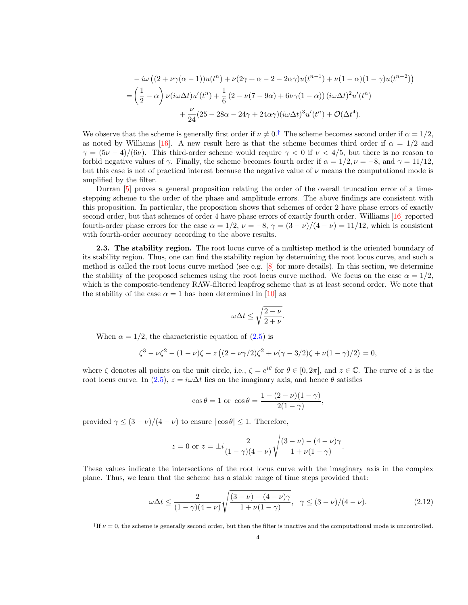<span id="page-3-3"></span>
$$
-i\omega\left((2+\nu\gamma(\alpha-1))u(t^n)+\nu(2\gamma+\alpha-2-2\alpha\gamma)u(t^{n-1})+\nu(1-\alpha)(1-\gamma)u(t^{n-2})\right)
$$
  
=\left(\frac{1}{2}-\alpha\right)\nu(i\omega\Delta t)u'(t^n)+\frac{1}{6}(2-\nu(7-9\alpha)+6\nu\gamma(1-\alpha))\left(i\omega\Delta t\right)^2u'(t^n)  
+\frac{\nu}{24}(25-28\alpha-24\gamma+24\alpha\gamma)(i\omega\Delta t)^3u'(t^n)+\mathcal{O}(\Delta t^4).

We observe that the scheme is generally first order if  $\nu \neq 0.†$  $\nu \neq 0.†$  The scheme becomes second order if  $\alpha = 1/2$ , as noted by Williams [\[16\]](#page-7-12). A new result here is that the scheme becomes third order if  $\alpha = 1/2$  and  $\gamma = (5\nu - 4)/(6\nu)$ . This third-order scheme would require  $\gamma < 0$  if  $\nu < 4/5$ , but there is no reason to forbid negative values of  $\gamma$ . Finally, the scheme becomes fourth order if  $\alpha = 1/2$ ,  $\nu = -8$ , and  $\gamma = 11/12$ , but this case is not of practical interest because the negative value of  $\nu$  means the computational mode is amplified by the filter.

Durran [\[5\]](#page-7-15) proves a general proposition relating the order of the overall truncation error of a timestepping scheme to the order of the phase and amplitude errors. The above findings are consistent with this proposition. In particular, the proposition shows that schemes of order 2 have phase errors of exactly second order, but that schemes of order 4 have phase errors of exactly fourth order. Williams [\[16\]](#page-7-12) reported fourth-order phase errors for the case  $\alpha = 1/2$ ,  $\nu = -8$ ,  $\gamma = (3 - \nu)/(4 - \nu) = 11/12$ , which is consistent with fourth-order accuracy according to the above results.

<span id="page-3-0"></span>2.3. The stability region. The root locus curve of a multistep method is the oriented boundary of its stability region. Thus, one can find the stability region by determining the root locus curve, and such a method is called the root locus curve method (see e.g. [\[8\]](#page-7-16) for more details). In this section, we determine the stability of the proposed schemes using the root locus curve method. We focus on the case  $\alpha = 1/2$ , which is the composite-tendency RAW-filtered leapfrog scheme that is at least second order. We note that the stability of the case  $\alpha = 1$  has been determined in [\[10\]](#page-7-17) as

$$
\omega \Delta t \le \sqrt{\frac{2-\nu}{2+\nu}}.
$$

When  $\alpha = 1/2$ , the characteristic equation of  $(2.5)$  is

$$
\zeta^3 - \nu \zeta^2 - (1 - \nu)\zeta - z \left( (2 - \nu \gamma/2) \zeta^2 + \nu (\gamma - 3/2) \zeta + \nu (1 - \gamma)/2 \right) = 0,
$$

where  $\zeta$  denotes all points on the unit circle, i.e.,  $\zeta = e^{i\theta}$  for  $\theta \in [0, 2\pi]$ , and  $z \in \mathbb{C}$ . The curve of z is the root locus curve. In [\(2.5\)](#page-1-8),  $z = i\omega\Delta t$  lies on the imaginary axis, and hence  $\theta$  satisfies

<span id="page-3-2"></span>
$$
\cos \theta = 1
$$
 or  $\cos \theta = \frac{1 - (2 - \nu)(1 - \gamma)}{2(1 - \gamma)},$ 

provided  $\gamma \leq (3 - \nu)/(4 - \nu)$  to ensure  $|\cos \theta| \leq 1$ . Therefore,

$$
z = 0
$$
 or  $z = \pm i \frac{2}{(1 - \gamma)(4 - \nu)} \sqrt{\frac{(3 - \nu) - (4 - \nu)\gamma}{1 + \nu(1 - \gamma)}}.$ 

These values indicate the intersections of the root locus curve with the imaginary axis in the complex plane. Thus, we learn that the scheme has a stable range of time steps provided that:

$$
\omega \Delta t \le \frac{2}{(1-\gamma)(4-\nu)} \sqrt{\frac{(3-\nu)-(4-\nu)\gamma}{1+\nu(1-\gamma)}}, \quad \gamma \le (3-\nu)/(4-\nu). \tag{2.12}
$$

<span id="page-3-1"></span><sup>&</sup>lt;sup>†</sup>If  $\nu = 0$ , the scheme is generally second order, but then the filter is inactive and the computational mode is uncontrolled.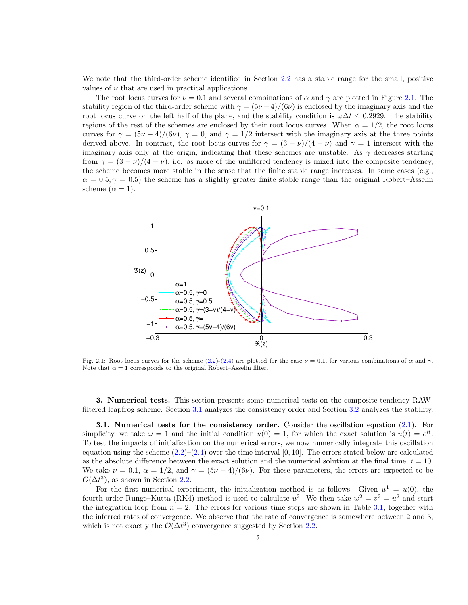We note that the third-order scheme identified in Section [2.2](#page-2-0) has a stable range for the small, positive values of  $\nu$  that are used in practical applications.

The root locus curves for  $\nu = 0.1$  and several combinations of  $\alpha$  and  $\gamma$  are plotted in Figure [2.1.](#page-4-1) The stability region of the third-order scheme with  $\gamma = (5\nu - 4)/(6\nu)$  is enclosed by the imaginary axis and the root locus curve on the left half of the plane, and the stability condition is  $\omega\Delta t \leq 0.2929$ . The stability regions of the rest of the schemes are enclosed by their root locus curves. When  $\alpha = 1/2$ , the root locus curves for  $\gamma = (5\nu - 4)/(6\nu)$ ,  $\gamma = 0$ , and  $\gamma = 1/2$  intersect with the imaginary axis at the three points derived above. In contrast, the root locus curves for  $\gamma = (3 - \nu)/(4 - \nu)$  and  $\gamma = 1$  intersect with the imaginary axis only at the origin, indicating that these schemes are unstable. As  $\gamma$  decreases starting from  $\gamma = (3 - \nu)/(4 - \nu)$ , i.e. as more of the unfiltered tendency is mixed into the composite tendency, the scheme becomes more stable in the sense that the finite stable range increases. In some cases (e.g.,  $\alpha = 0.5, \gamma = 0.5$ ) the scheme has a slightly greater finite stable range than the original Robert–Asselin scheme  $(\alpha = 1)$ .

<span id="page-4-1"></span>

Fig. 2.1: Root locus curves for the scheme [\(2.2\)](#page-1-4)-[\(2.4\)](#page-1-5) are plotted for the case  $\nu = 0.1$ , for various combinations of  $\alpha$  and  $\gamma$ . Note that  $\alpha = 1$  corresponds to the original Robert–Asselin filter.

<span id="page-4-0"></span>3. Numerical tests. This section presents some numerical tests on the composite-tendency RAWfiltered leapfrog scheme. Section [3.1](#page-4-2) analyzes the consistency order and Section [3.2](#page-5-0) analyzes the stability.

<span id="page-4-2"></span>**3.1. Numerical tests for the consistency order.** Consider the oscillation equation [\(2.1\)](#page-1-9). For simplicity, we take  $\omega = 1$  and the initial condition  $u(0) = 1$ , for which the exact solution is  $u(t) = e^{it}$ . To test the impacts of initialization on the numerical errors, we now numerically integrate this oscillation equation using the scheme  $(2.2)$ – $(2.4)$  over the time interval  $[0, 10]$ . The errors stated below are calculated as the absolute difference between the exact solution and the numerical solution at the final time,  $t = 10$ . We take  $\nu = 0.1$ ,  $\alpha = 1/2$ , and  $\gamma = (5\nu - 4)/(6\nu)$ . For these parameters, the errors are expected to be  $\mathcal{O}(\Delta t^3)$ , as shown in Section [2.2.](#page-2-0)

For the first numerical experiment, the initialization method is as follows. Given  $u^1 = u(0)$ , the fourth-order Runge–Kutta (RK4) method is used to calculate  $u^2$ . We then take  $w^2 = v^2 = u^2$  and start the integration loop from  $n = 2$ . The errors for various time steps are shown in Table [3.1,](#page-5-1) together with the inferred rates of convergence. We observe that the rate of convergence is somewhere between 2 and 3, which is not exactly the  $\mathcal{O}(\Delta t^3)$  convergence suggested by Section [2.2.](#page-2-0)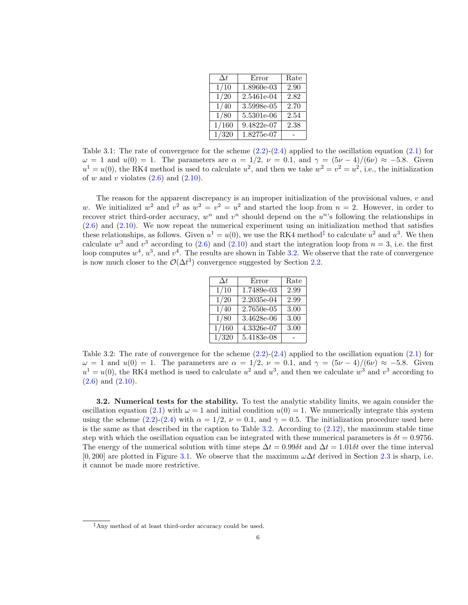| $\Delta t$      | Error                                | Rate |
|-----------------|--------------------------------------|------|
| 1/10            | 1.8960e-03                           | 2.90 |
| 1/20            | 2.5461e-04                           | 2.82 |
| 1/40            | 3.5998e-05                           | 2.70 |
| 1/80            | 5.5301e-06                           | 2.54 |
| 1/160           | $\overline{9.482}$ <sub>2</sub> e-07 | 2.38 |
| $\frac{1}{320}$ | $1.8275e-07$                         |      |

<span id="page-5-1"></span>Table 3.1: The rate of convergence for the scheme  $(2.2)-(2.4)$  $(2.2)-(2.4)$  $(2.2)-(2.4)$  applied to the oscillation equation  $(2.1)$  for  $\omega = 1$  and  $u(0) = 1$ . The parameters are  $\alpha = 1/2$ ,  $\nu = 0.1$ , and  $\gamma = (5\nu - 4)/(6\nu) \approx -5.8$ . Given  $u^1 = u(0)$ , the RK4 method is used to calculate  $u^2$ , and then we take  $w^2 = v^2 = u^2$ , i.e., the initialization of w and v violates  $(2.6)$  and  $(2.10)$ .

The reason for the apparent discrepancy is an improper initialization of the provisional values,  $v$  and w. We initialized  $w^2$  and  $v^2$  as  $w^2 = v^2 = u^2$  and started the loop from  $n = 2$ . However, in order to recover strict third-order accuracy,  $w^n$  and  $v^n$  should depend on the  $u^n$ 's following the relationships in  $(2.6)$  and  $(2.10)$ . We now repeat the numerical experiment using an initialization method that satisfies these relationships, as follows. Given  $u^1 = u(0)$ , we use the RK4 method<sup>[‡](#page-5-2)</sup> to calculate  $u^2$  and  $u^3$ . We then calculate  $w^3$  and  $v^3$  according to [\(2.6\)](#page-1-7) and [\(2.10\)](#page-2-3) and start the integration loop from  $n = 3$ , i.e. the first loop computes  $w^4$ ,  $u^3$ , and  $v^4$ . The results are shown in Table [3.2.](#page-5-3) We observe that the rate of convergence is now much closer to the  $\mathcal{O}(\Delta t^3)$  convergence suggested by Section [2.2.](#page-2-0)

| $\Delta t$     | Error        | Rate |
|----------------|--------------|------|
| 1/10           | $1.7489e-03$ | 2.99 |
| $\frac{1}{20}$ | 2.2035e-04   | 2.99 |
| 1/40           | 2.7650e-05   | 3.00 |
| 1/80           | 3.4628e-06   | 3.00 |
| 1/160          | 4.3326e-07   | 3.00 |
| 1/320          | $5.4183e-08$ |      |
|                |              |      |

<span id="page-5-3"></span>Table 3.2: The rate of convergence for the scheme  $(2.2)-(2.4)$  $(2.2)-(2.4)$  $(2.2)-(2.4)$  applied to the oscillation equation  $(2.1)$  for  $\omega = 1$  and  $u(0) = 1$ . The parameters are  $\alpha = 1/2$ ,  $\nu = 0.1$ , and  $\gamma = (5\nu - 4)/(6\nu) \approx -5.8$ . Given  $u^1 = u(0)$ , the RK4 method is used to calculate  $u^2$  and  $u^3$ , and then we calculate  $w^3$  and  $v^3$  according to [\(2.6\)](#page-1-7) and [\(2.10\)](#page-2-3).

<span id="page-5-0"></span>3.2. Numerical tests for the stability. To test the analytic stability limits, we again consider the oscillation equation [\(2.1\)](#page-1-9) with  $\omega = 1$  and initial condition  $u(0) = 1$ . We numerically integrate this system using the scheme [\(2.2\)](#page-1-4)-[\(2.4\)](#page-1-5) with  $\alpha = 1/2$ ,  $\nu = 0.1$ , and  $\gamma = 0.5$ . The initialization procedure used here is the same as that described in the caption to Table [3.2.](#page-5-3) According to  $(2.12)$ , the maximum stable time step with which the oscillation equation can be integrated with these numerical parameters is  $\delta t = 0.9756$ . The energy of the numerical solution with time steps  $\Delta t = 0.99\delta t$  and  $\Delta t = 1.01\delta t$  over the time interval [0, 200] are plotted in Figure [3.1.](#page-4-1) We observe that the maximum  $\omega \Delta t$  derived in Section [2.3](#page-3-0) is sharp, i.e. it cannot be made more restrictive.

<span id="page-5-2"></span><sup>‡</sup>Any method of at least third-order accuracy could be used.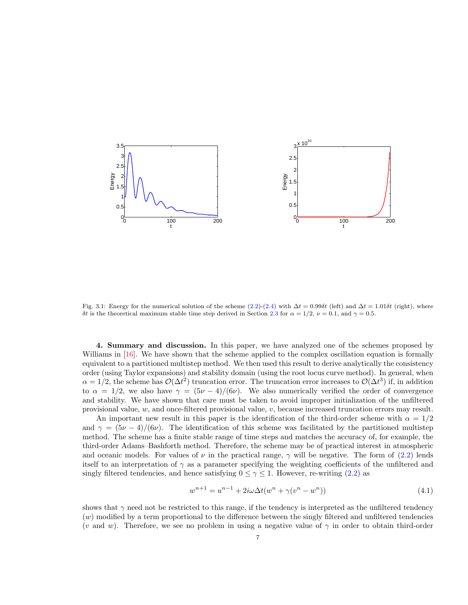<span id="page-6-1"></span>

Fig. 3.1: Energy for the numerical solution of the scheme [\(2.2\)](#page-1-4)-[\(2.4\)](#page-1-5) with  $\Delta t = 0.99\delta t$  (left) and  $\Delta t = 1.01\delta t$  (right), where δt is the theoretical maximum stable time step derived in Section [2.3](#page-3-0) for  $\alpha = 1/2$ ,  $\nu = 0.1$ , and  $\gamma = 0.5$ .

<span id="page-6-0"></span>4. Summary and discussion. In this paper, we have analyzed one of the schemes proposed by Williams in [\[16\]](#page-7-12). We have shown that the scheme applied to the complex oscillation equation is formally equivalent to a partitioned multistep method. We then used this result to derive analytically the consistency order (using Taylor expansions) and stability domain (using the root locus curve method). In general, when  $\alpha = 1/2$ , the scheme has  $\mathcal{O}(\Delta t^2)$  truncation error. The truncation error increases to  $\mathcal{O}(\Delta t^3)$  if, in addition to  $\alpha = 1/2$ , we also have  $\gamma = (5\nu - 4)/(6\nu)$ . We also numerically verified the order of convergence and stability. We have shown that care must be taken to avoid improper initialization of the unfiltered provisional value,  $w$ , and once-filtered provisional value,  $v$ , because increased truncation errors may result.

An important new result in this paper is the identification of the third-order scheme with  $\alpha = 1/2$ and  $\gamma = (5\nu - 4)/(6\nu)$ . The identification of this scheme was facilitated by the partitioned multistep method. The scheme has a finite stable range of time steps and matches the accuracy of, for example, the third-order Adams–Bashforth method. Therefore, the scheme may be of practical interest in atmospheric and oceanic models. For values of  $\nu$  in the practical range,  $\gamma$  will be negative. The form of [\(2.2\)](#page-1-4) lends itself to an interpretation of  $\gamma$  as a parameter specifying the weighting coefficients of the unfiltered and singly filtered tendencies, and hence satisfying  $0 \leq \gamma \leq 1$ . However, re-writing [\(2.2\)](#page-1-4) as

$$
w^{n+1} = u^{n-1} + 2i\omega \Delta t (w^n + \gamma (v^n - w^n))
$$
\n(4.1)

shows that  $\gamma$  need not be restricted to this range, if the tendency is interpreted as the unfiltered tendency (w) modified by a term proportional to the difference between the singly filtered and unfiltered tendencies (v and w). Therefore, we see no problem in using a negative value of  $\gamma$  in order to obtain third-order